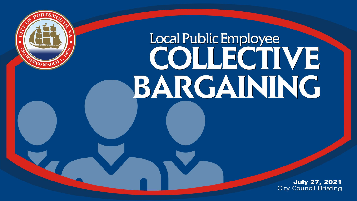

## Local Public Employee COUECTIVE BARGAINING

**July 27, 2021 City Council Briefing**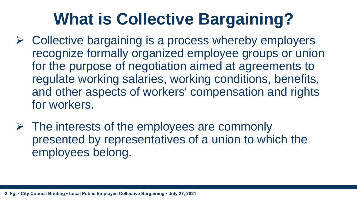## **What is Collective Bargaining?**

- $\triangleright$  Collective bargaining is a process whereby employers recognize formally organized employee groups or union for the purpose of negotiation aimed at agreements to regulate working salaries, working conditions, benefits, and other aspects of workers' compensation and rights for workers.
- $\triangleright$  The interests of the employees are commonly presented by representatives of a union to which the employees belong.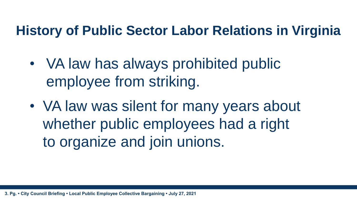#### **History of Public Sector Labor Relations in Virginia**

- VA law has always prohibited public employee from striking.
- VA law was silent for many years about whether public employees had a right to organize and join unions.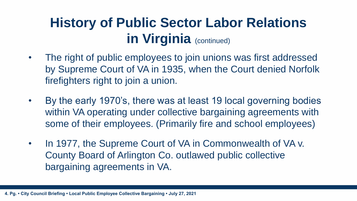#### **History of Public Sector Labor Relations in Virginia** (continued)

- The right of public employees to join unions was first addressed by Supreme Court of VA in 1935, when the Court denied Norfolk firefighters right to join a union.
- By the early 1970's, there was at least 19 local governing bodies within VA operating under collective bargaining agreements with some of their employees. (Primarily fire and school employees)
- In 1977, the Supreme Court of VA in Commonwealth of VA v. County Board of Arlington Co. outlawed public collective bargaining agreements in VA.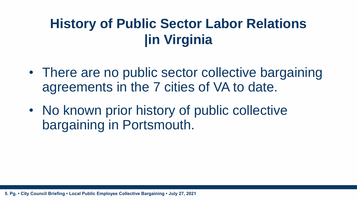#### **History of Public Sector Labor Relations |in Virginia**

- There are no public sector collective bargaining agreements in the 7 cities of VA to date.
- No known prior history of public collective bargaining in Portsmouth.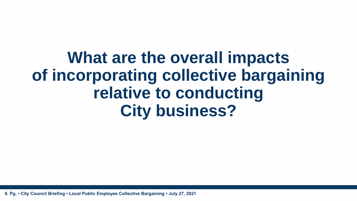## **What are the overall impacts of incorporating collective bargaining relative to conducting City business?**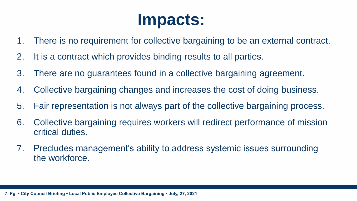## **Impacts:**

- 1. There is no requirement for collective bargaining to be an external contract.
- 2. It is a contract which provides binding results to all parties.
- 3. There are no guarantees found in a collective bargaining agreement.
- 4. Collective bargaining changes and increases the cost of doing business.
- 5. Fair representation is not always part of the collective bargaining process.
- 6. Collective bargaining requires workers will redirect performance of mission critical duties.
- 7. Precludes management's ability to address systemic issues surrounding the workforce.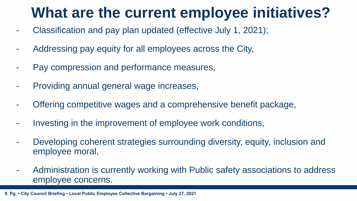### **What are the current employee initiatives?**

- Classification and pay plan updated (effective July 1, 2021);
- Addressing pay equity for all employees across the City,
- Pay compression and performance measures,
- Providing annual general wage increases,
- Offering competitive wages and a comprehensive benefit package,
- Investing in the improvement of employee work conditions,
- Developing coherent strategies surrounding diversity, equity, inclusion and employee moral,
- Administration is currently working with Public safety associations to address employee concerns.

**8. Pg. • City Council Briefing • Local Public Employee Collective Bargaining • July 27, 2021**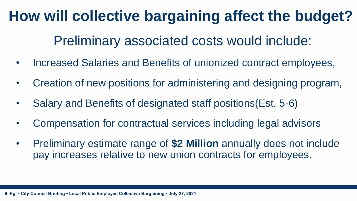### **How will collective bargaining affect the budget?**

Preliminary associated costs would include:

- Increased Salaries and Benefits of unionized contract employees,
- Creation of new positions for administering and designing program,
- Salary and Benefits of designated staff positions(Est. 5-6)
- Compensation for contractual services including legal advisors
- Preliminary estimate range of **\$2 Million** annually does not include pay increases relative to new union contracts for employees.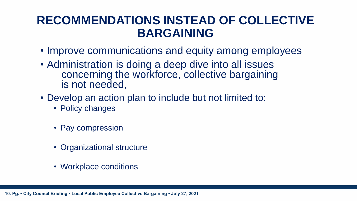#### **RECOMMENDATIONS INSTEAD OF COLLECTIVE BARGAINING**

- Improve communications and equity among employees
- Administration is doing a deep dive into all issues concerning the workforce, collective bargaining is not needed,
- Develop an action plan to include but not limited to:
	- Policy changes
	- Pay compression
	- Organizational structure
	- Workplace conditions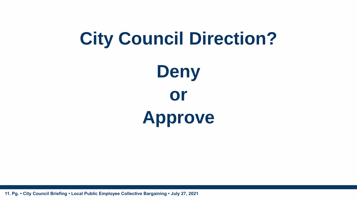# **Deny or City Council Direction?**

**Approve**

**11. Pg. • City Council Briefing • Local Public Employee Collective Bargaining • July 27, 2021**